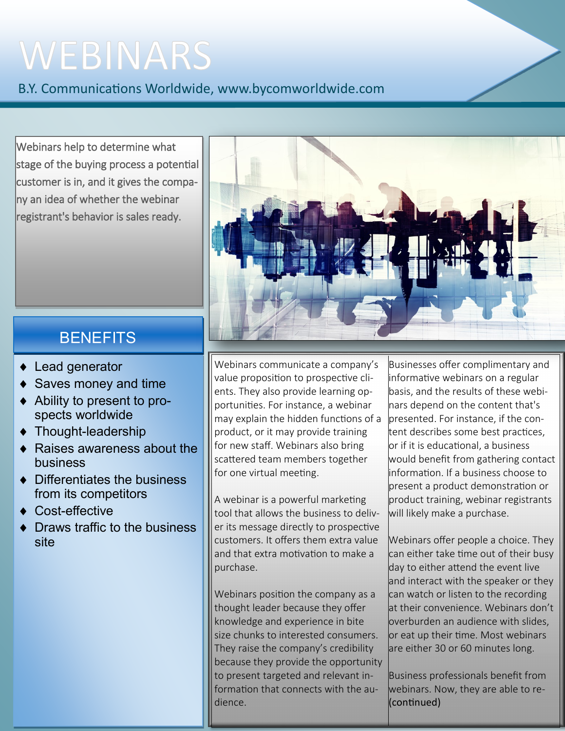# WEBINARS

B.Y. Communications Worldwide, www.bycomworldwide.com

Webinars help to determine what stage of the buying process a potential customer is in, and it gives the company an idea of whether the webinar registrant's behavior is sales ready.



### **BENEFITS**

- ◆ Lead generator
- Saves money and time
- Ability to present to prospects worldwide
- ◆ Thought-leadership
- ◆ Raises awareness about the business
- ◆ Differentiates the business from its competitors
- ◆ Cost-effective
- Draws traffic to the business site

Webinars communicate a company's value proposition to prospective clients. They also provide learning opportunities. For instance, a webinar may explain the hidden functions of a product, or it may provide training for new staff. Webinars also bring scattered team members together for one virtual meeting.

A webinar is a powerful marketing tool that allows the business to deliver its message directly to prospective customers. It offers them extra value and that extra motivation to make a purchase.

Webinars position the company as a thought leader because they offer knowledge and experience in bite size chunks to interested consumers. They raise the company's credibility because they provide the opportunity to present targeted and relevant information that connects with the audience.

Businesses offer complimentary and informative webinars on a regular basis, and the results of these webinars depend on the content that's presented. For instance, if the content describes some best practices, or if it is educational, a business would benefit from gathering contact information. If a business choose to present a product demonstration or product training, webinar registrants will likely make a purchase.

Webinars offer people a choice. They can either take time out of their busy day to either attend the event live and interact with the speaker or they can watch or listen to the recording at their convenience. Webinars don't overburden an audience with slides, or eat up their time. Most webinars are either 30 or 60 minutes long.

Business professionals benefit from webinars. Now, they are able to re- (continued)